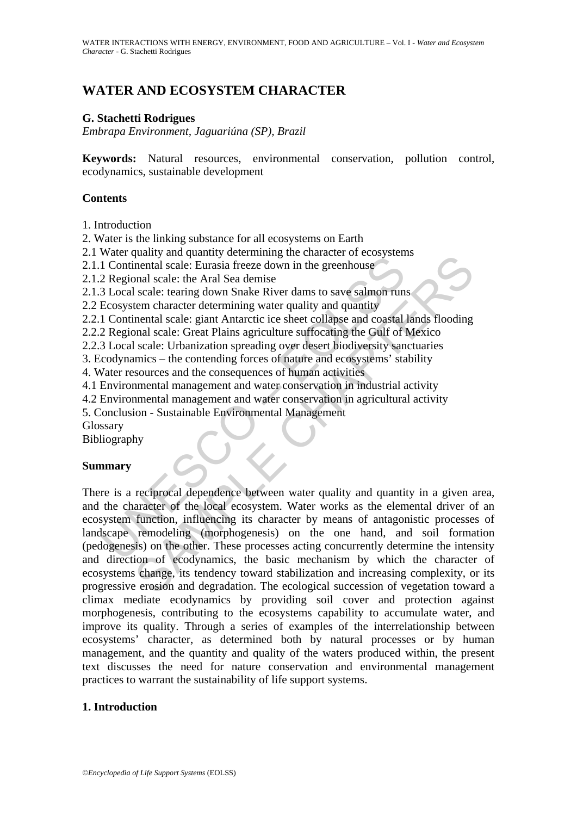# **WATER AND ECOSYSTEM CHARACTER**

#### **G. Stachetti Rodrigues**

*Embrapa Environment, Jaguariúna (SP), Brazil* 

**Keywords:** Natural resources, environmental conservation, pollution control, ecodynamics, sustainable development

#### **Contents**

1. Introduction

2. Water is the linking substance for all ecosystems on Earth

2.1 Water quality and quantity determining the character of ecosystems

2.1.1 Continental scale: Eurasia freeze down in the greenhouse

2.1.2 Regional scale: the Aral Sea demise

2.1.3 Local scale: tearing down Snake River dams to save salmon runs

2.2 Ecosystem character determining water quality and quantity

2.2.1 Continental scale: giant Antarctic ice sheet collapse and coastal lands flooding

2.2.2 Regional scale: Great Plains agriculture suffocating the Gulf of Mexico

2.2.3 Local scale: Urbanization spreading over desert biodiversity sanctuaries

3. Ecodynamics – the contending forces of nature and ecosystems' stability

4. Water resources and the consequences of human activities

4.1 Environmental management and water conservation in industrial activity

4.2 Environmental management and water conservation in agricultural activity

5. Conclusion - Sustainable Environmental Management

Glossary

Bibliography

#### **Summary**

many and quantity occurring the character of reconsumeral different of the direction of econdynamics of the conduction of econdynamics of the character of the basic energy and  $1$  Continental scale: tearing down Snake Rive many and quantity accurrimming tuc character or cotosystems<br>nental scale: Eurasia freeze down in the gerenhouse<br>onal scale: tearing down Snake River dans to save salmon runs<br>scale: tearing down Snake River dans to save sal There is a reciprocal dependence between water quality and quantity in a given area, and the character of the local ecosystem. Water works as the elemental driver of an ecosystem function, influencing its character by means of antagonistic processes of landscape remodeling (morphogenesis) on the one hand, and soil formation (pedogenesis) on the other. These processes acting concurrently determine the intensity and direction of ecodynamics, the basic mechanism by which the character of ecosystems change, its tendency toward stabilization and increasing complexity, or its progressive erosion and degradation. The ecological succession of vegetation toward a climax mediate ecodynamics by providing soil cover and protection against morphogenesis, contributing to the ecosystems capability to accumulate water, and improve its quality. Through a series of examples of the interrelationship between ecosystems' character, as determined both by natural processes or by human management, and the quantity and quality of the waters produced within, the present text discusses the need for nature conservation and environmental management practices to warrant the sustainability of life support systems.

#### **1. Introduction**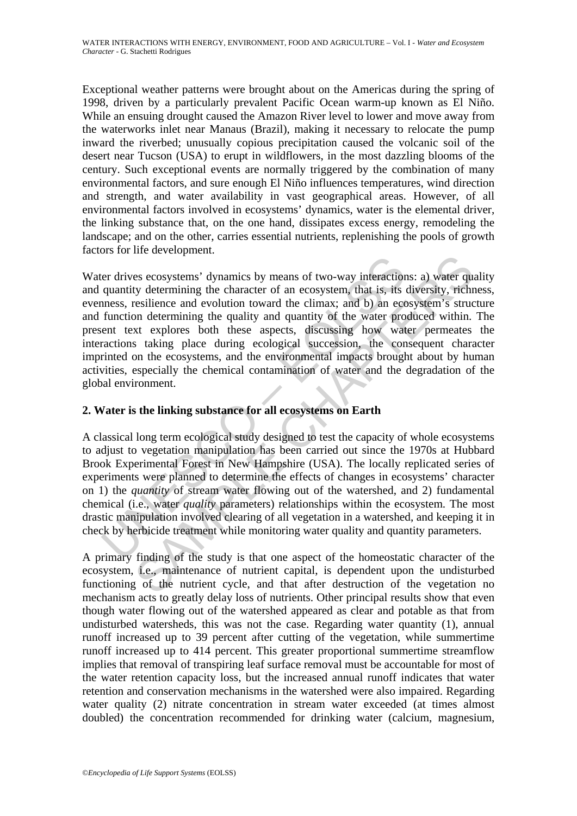Exceptional weather patterns were brought about on the Americas during the spring of 1998, driven by a particularly prevalent Pacific Ocean warm-up known as El Niño. While an ensuing drought caused the Amazon River level to lower and move away from the waterworks inlet near Manaus (Brazil), making it necessary to relocate the pump inward the riverbed; unusually copious precipitation caused the volcanic soil of the desert near Tucson (USA) to erupt in wildflowers, in the most dazzling blooms of the century. Such exceptional events are normally triggered by the combination of many environmental factors, and sure enough El Niño influences temperatures, wind direction and strength, and water availability in vast geographical areas. However, of all environmental factors involved in ecosystems' dynamics, water is the elemental driver, the linking substance that, on the one hand, dissipates excess energy, remodeling the landscape; and on the other, carries essential nutrients, replenishing the pools of growth factors for life development.

er drives ecosystems' dynamics by means of two-way interaction<br>quantity determining the character of an ecosystem, that is, its inness, resilience and evolution toward the climax; and b) an ecc<br>function determining the qua and exergences of two-way interactions: a) water quality determining the character of an ecosystem, that is, its diversity, richnostic resistion and evolution toward the climax; and b) an ecosystem's structure in determini Water drives ecosystems' dynamics by means of two-way interactions: a) water quality and quantity determining the character of an ecosystem, that is, its diversity, richness, evenness, resilience and evolution toward the climax; and b) an ecosystem's structure and function determining the quality and quantity of the water produced within. The present text explores both these aspects, discussing how water permeates the interactions taking place during ecological succession, the consequent character imprinted on the ecosystems, and the environmental impacts brought about by human activities, especially the chemical contamination of water and the degradation of the global environment.

# **2. Water is the linking substance for all ecosystems on Earth**

A classical long term ecological study designed to test the capacity of whole ecosystems to adjust to vegetation manipulation has been carried out since the 1970s at Hubbard Brook Experimental Forest in New Hampshire (USA). The locally replicated series of experiments were planned to determine the effects of changes in ecosystems' character on 1) the *quantity* of stream water flowing out of the watershed, and 2) fundamental chemical (i.e., water *quality* parameters) relationships within the ecosystem. The most drastic manipulation involved clearing of all vegetation in a watershed, and keeping it in check by herbicide treatment while monitoring water quality and quantity parameters.

A primary finding of the study is that one aspect of the homeostatic character of the ecosystem, i.e., maintenance of nutrient capital, is dependent upon the undisturbed functioning of the nutrient cycle, and that after destruction of the vegetation no mechanism acts to greatly delay loss of nutrients. Other principal results show that even though water flowing out of the watershed appeared as clear and potable as that from undisturbed watersheds, this was not the case. Regarding water quantity (1), annual runoff increased up to 39 percent after cutting of the vegetation, while summertime runoff increased up to 414 percent. This greater proportional summertime streamflow implies that removal of transpiring leaf surface removal must be accountable for most of the water retention capacity loss, but the increased annual runoff indicates that water retention and conservation mechanisms in the watershed were also impaired. Regarding water quality (2) nitrate concentration in stream water exceeded (at times almost doubled) the concentration recommended for drinking water (calcium, magnesium,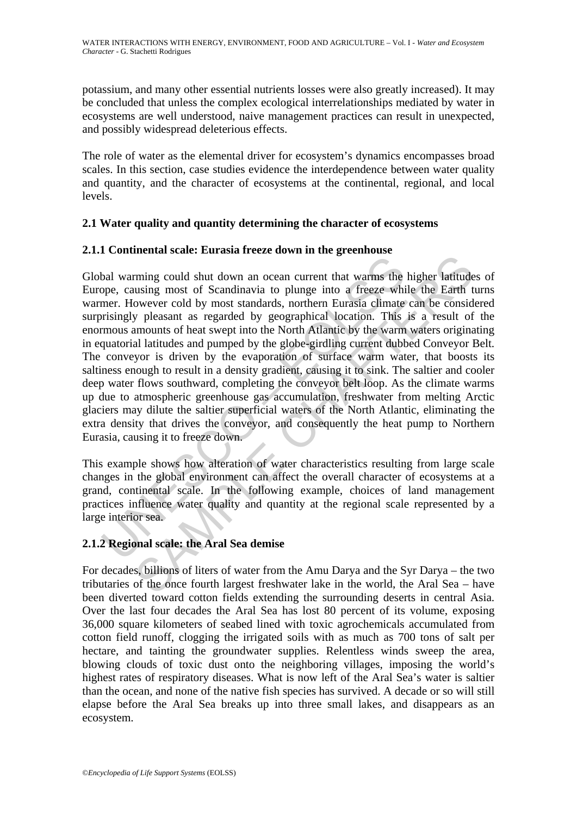potassium, and many other essential nutrients losses were also greatly increased). It may be concluded that unless the complex ecological interrelationships mediated by water in ecosystems are well understood, naive management practices can result in unexpected, and possibly widespread deleterious effects.

The role of water as the elemental driver for ecosystem's dynamics encompasses broad scales. In this section, case studies evidence the interdependence between water quality and quantity, and the character of ecosystems at the continental, regional, and local levels.

# **2.1 Water quality and quantity determining the character of ecosystems**

# **2.1.1 Continental scale: Eurasia freeze down in the greenhouse**

bal warming could shut down an ocean current that warms the pope, causing most of Scandinavia to plunge into a freeze whimer. However cold by most standards, northern Eurasia climate irrisingly pleasant as regarded by geop mining could shut down an ocean current that warms the higher latitudes<br>using most of Scandinavia to plunge into a freeze while the Earth towever cold by most standards, northern Eurasia climate can be considered by geogra Global warming could shut down an ocean current that warms the higher latitudes of Europe, causing most of Scandinavia to plunge into a freeze while the Earth turns warmer. However cold by most standards, northern Eurasia climate can be considered surprisingly pleasant as regarded by geographical location. This is a result of the enormous amounts of heat swept into the North Atlantic by the warm waters originating in equatorial latitudes and pumped by the globe-girdling current dubbed Conveyor Belt. The conveyor is driven by the evaporation of surface warm water, that boosts its saltiness enough to result in a density gradient, causing it to sink. The saltier and cooler deep water flows southward, completing the conveyor belt loop. As the climate warms up due to atmospheric greenhouse gas accumulation, freshwater from melting Arctic glaciers may dilute the saltier superficial waters of the North Atlantic, eliminating the extra density that drives the conveyor, and consequently the heat pump to Northern Eurasia, causing it to freeze down.

This example shows how alteration of water characteristics resulting from large scale changes in the global environment can affect the overall character of ecosystems at a grand, continental scale. In the following example, choices of land management practices influence water quality and quantity at the regional scale represented by a large interior sea.

# **2.1.2 Regional scale: the Aral Sea demise**

For decades, billions of liters of water from the Amu Darya and the Syr Darya – the two tributaries of the once fourth largest freshwater lake in the world, the Aral Sea – have been diverted toward cotton fields extending the surrounding deserts in central Asia. Over the last four decades the Aral Sea has lost 80 percent of its volume, exposing 36,000 square kilometers of seabed lined with toxic agrochemicals accumulated from cotton field runoff, clogging the irrigated soils with as much as 700 tons of salt per hectare, and tainting the groundwater supplies. Relentless winds sweep the area, blowing clouds of toxic dust onto the neighboring villages, imposing the world's highest rates of respiratory diseases. What is now left of the Aral Sea's water is saltier than the ocean, and none of the native fish species has survived. A decade or so will still elapse before the Aral Sea breaks up into three small lakes, and disappears as an ecosystem.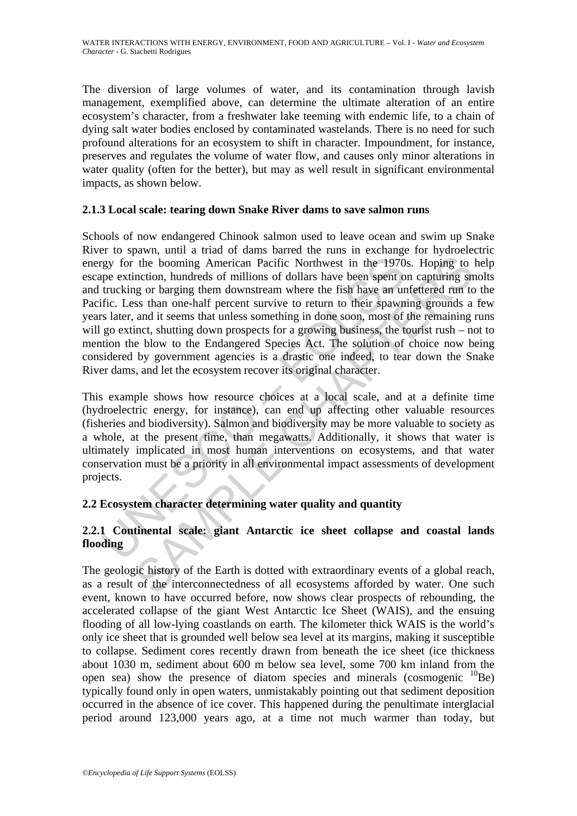The diversion of large volumes of water, and its contamination through lavish management, exemplified above, can determine the ultimate alteration of an entire ecosystem's character, from a freshwater lake teeming with endemic life, to a chain of dying salt water bodies enclosed by contaminated wastelands. There is no need for such profound alterations for an ecosystem to shift in character. Impoundment, for instance, preserves and regulates the volume of water flow, and causes only minor alterations in water quality (often for the better), but may as well result in significant environmental impacts, as shown below.

#### **2.1.3 Local scale: tearing down Snake River dams to save salmon runs**

The booming American Pacific Northwest in the 1970<br>pe extinction, hundreds of millions of dollars have been spent of<br>trucking or barging them downstream where the fish have an ur<br>fric. Less than one-half percent survive to the booming American Pacific Northwest in the 1970s. Hoping to the booming American Pacific Northwest in the 1970s. Hoping to inction, hundreds of millions of dollars have been spent on capturing sn or barging the movastre Schools of now endangered Chinook salmon used to leave ocean and swim up Snake River to spawn, until a triad of dams barred the runs in exchange for hydroelectric energy for the booming American Pacific Northwest in the 1970s. Hoping to help escape extinction, hundreds of millions of dollars have been spent on capturing smolts and trucking or barging them downstream where the fish have an unfettered run to the Pacific. Less than one-half percent survive to return to their spawning grounds a few years later, and it seems that unless something in done soon, most of the remaining runs will go extinct, shutting down prospects for a growing business, the tourist rush – not to mention the blow to the Endangered Species Act. The solution of choice now being considered by government agencies is a drastic one indeed, to tear down the Snake River dams, and let the ecosystem recover its original character.

This example shows how resource choices at a local scale, and at a definite time (hydroelectric energy, for instance), can end up affecting other valuable resources (fisheries and biodiversity). Salmon and biodiversity may be more valuable to society as a whole, at the present time, than megawatts. Additionally, it shows that water is ultimately implicated in most human interventions on ecosystems, and that water conservation must be a priority in all environmental impact assessments of development projects.

### **2.2 Ecosystem character determining water quality and quantity**

# **2.2.1 Continental scale: giant Antarctic ice sheet collapse and coastal lands flooding**

The geologic history of the Earth is dotted with extraordinary events of a global reach, as a result of the interconnectedness of all ecosystems afforded by water. One such event, known to have occurred before, now shows clear prospects of rebounding, the accelerated collapse of the giant West Antarctic Ice Sheet (WAIS), and the ensuing flooding of all low-lying coastlands on earth. The kilometer thick WAIS is the world's only ice sheet that is grounded well below sea level at its margins, making it susceptible to collapse. Sediment cores recently drawn from beneath the ice sheet (ice thickness about 1030 m, sediment about 600 m below sea level, some 700 km inland from the open sea) show the presence of diatom species and minerals (cosmogenic <sup>10</sup>Be) typically found only in open waters, unmistakably pointing out that sediment deposition occurred in the absence of ice cover. This happened during the penultimate interglacial period around 123,000 years ago, at a time not much warmer than today, but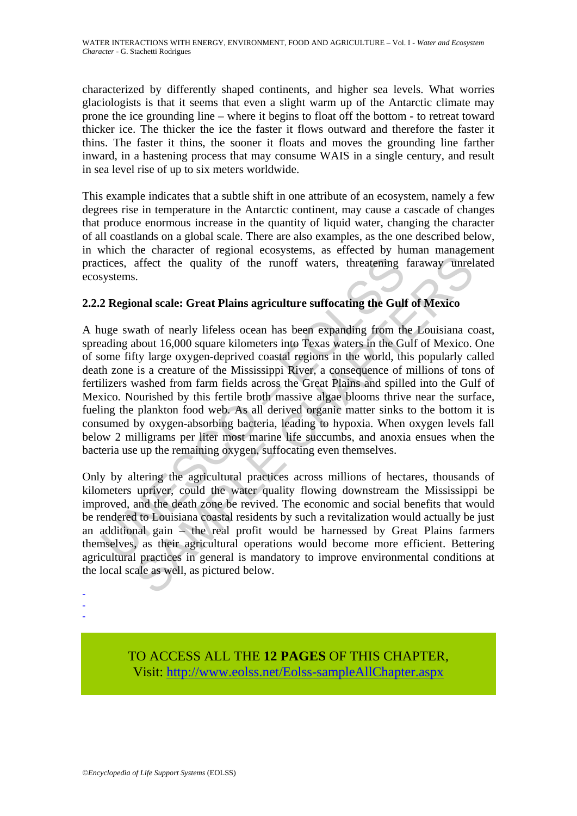characterized by differently shaped continents, and higher sea levels. What worries glaciologists is that it seems that even a slight warm up of the Antarctic climate may prone the ice grounding line – where it begins to float off the bottom - to retreat toward thicker ice. The thicker the ice the faster it flows outward and therefore the faster it thins. The faster it thins, the sooner it floats and moves the grounding line farther inward, in a hastening process that may consume WAIS in a single century, and result in sea level rise of up to six meters worldwide.

This example indicates that a subtle shift in one attribute of an ecosystem, namely a few degrees rise in temperature in the Antarctic continent, may cause a cascade of changes that produce enormous increase in the quantity of liquid water, changing the character of all coastlands on a global scale. There are also examples, as the one described below, in which the character of regional ecosystems, as effected by human management practices, affect the quality of the runoff waters, threatening faraway unrelated ecosystems.

#### **2.2.2 Regional scale: Great Plains agriculture suffocating the Gulf of Mexico**

istices, affect the quality of the runoff waters, threatening<br>systems.<br>2 Regional scale: Great Plains agriculture suffocating the Gull<br>uge swath of nearly lifeless ocean has been expanding from th<br>ading about 16,000 square affect the quality of the runoff waters, threatening faraway unrel<br>s.<br>affect the quality of the runoff waters, threatening faraway unrel<br>s.<br>bubout 16,000 square kilometers into Texas waters in the Gulf of Mexico.<br>thout 16, A huge swath of nearly lifeless ocean has been expanding from the Louisiana coast, spreading about 16,000 square kilometers into Texas waters in the Gulf of Mexico. One of some fifty large oxygen-deprived coastal regions in the world, this popularly called death zone is a creature of the Mississippi River, a consequence of millions of tons of fertilizers washed from farm fields across the Great Plains and spilled into the Gulf of Mexico. Nourished by this fertile broth massive algae blooms thrive near the surface, fueling the plankton food web. As all derived organic matter sinks to the bottom it is consumed by oxygen-absorbing bacteria, leading to hypoxia. When oxygen levels fall below 2 milligrams per liter most marine life succumbs, and anoxia ensues when the bacteria use up the remaining oxygen, suffocating even themselves.

Only by altering the agricultural practices across millions of hectares, thousands of kilometers upriver, could the water quality flowing downstream the Mississippi be improved, and the death zone be revived. The economic and social benefits that would be rendered to Louisiana coastal residents by such a revitalization would actually be just an additional gain – the real profit would be harnessed by Great Plains farmers themselves, as their agricultural operations would become more efficient. Bettering agricultural practices in general is mandatory to improve environmental conditions at the local scale as well, as pictured below.

- -
- -

TO ACCESS ALL THE **12 PAGES** OF THIS CHAPTER, Visit: [http://www.eolss.net/Eolss-sampleAllChapter.aspx](https://www.eolss.net/ebooklib/sc_cart.aspx?File=E2-24D-02-01)